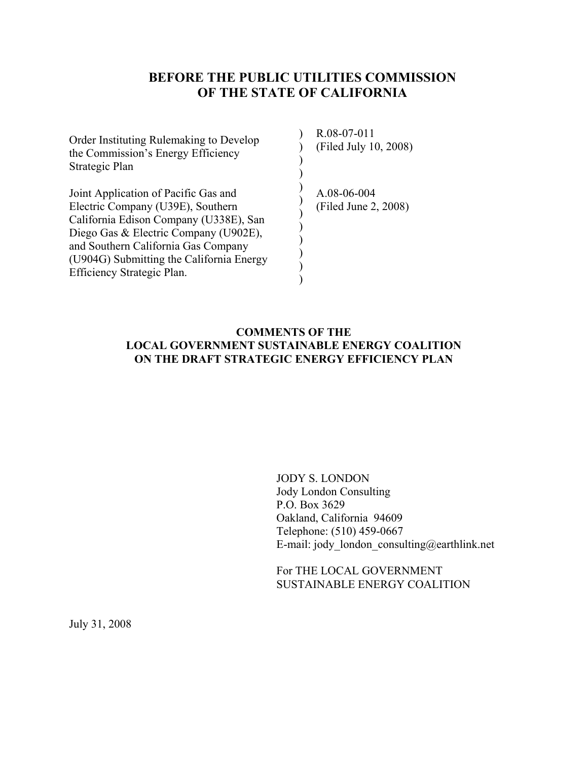# **BEFORE THE PUBLIC UTILITIES COMMISSION OF THE STATE OF CALIFORNIA**

) ) ) )

 $\mathcal{L}$  $\mathcal{L}$ ) )  $\mathcal{L}$ ) ) )

Order Instituting Rulemaking to Develop the Commission's Energy Efficiency Strategic Plan

Joint Application of Pacific Gas and Electric Company (U39E), Southern California Edison Company (U338E), San Diego Gas & Electric Company (U902E), and Southern California Gas Company (U904G) Submitting the California Energy Efficiency Strategic Plan.

R.08-07-011 (Filed July 10, 2008)

A.08-06-004 (Filed June 2, 2008)

### **COMMENTS OF THE LOCAL GOVERNMENT SUSTAINABLE ENERGY COALITION ON THE DRAFT STRATEGIC ENERGY EFFICIENCY PLAN**

JODY S. LONDON Jody London Consulting P.O. Box 3629 Oakland, California 94609 Telephone: (510) 459-0667 E-mail: jody london consulting@earthlink.net

For THE LOCAL GOVERNMENT SUSTAINABLE ENERGY COALITION

July 31, 2008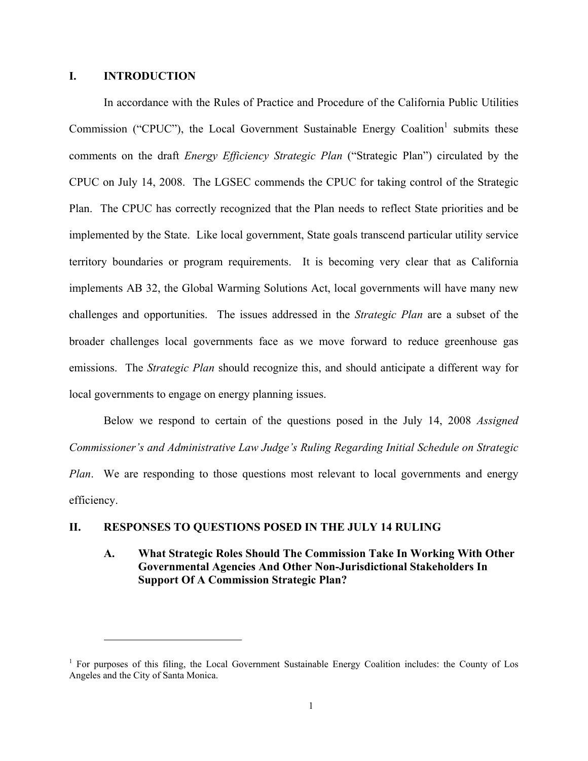### **I. INTRODUCTION**

 $\overline{a}$ 

In accordance with the Rules of Practice and Procedure of the California Public Utilities Commission ("CPUC"), the Local Government Sustainable Energy Coalition<sup>1</sup> submits these comments on the draft *Energy Efficiency Strategic Plan* ("Strategic Plan") circulated by the CPUC on July 14, 2008. The LGSEC commends the CPUC for taking control of the Strategic Plan. The CPUC has correctly recognized that the Plan needs to reflect State priorities and be implemented by the State. Like local government, State goals transcend particular utility service territory boundaries or program requirements. It is becoming very clear that as California implements AB 32, the Global Warming Solutions Act, local governments will have many new challenges and opportunities. The issues addressed in the *Strategic Plan* are a subset of the broader challenges local governments face as we move forward to reduce greenhouse gas emissions. The *Strategic Plan* should recognize this, and should anticipate a different way for local governments to engage on energy planning issues.

Below we respond to certain of the questions posed in the July 14, 2008 *Assigned Commissioner's and Administrative Law Judge's Ruling Regarding Initial Schedule on Strategic Plan*. We are responding to those questions most relevant to local governments and energy efficiency.

#### **II. RESPONSES TO QUESTIONS POSED IN THE JULY 14 RULING**

### **A. What Strategic Roles Should The Commission Take In Working With Other Governmental Agencies And Other Non-Jurisdictional Stakeholders In Support Of A Commission Strategic Plan?**

<sup>&</sup>lt;sup>1</sup> For purposes of this filing, the Local Government Sustainable Energy Coalition includes: the County of Los Angeles and the City of Santa Monica.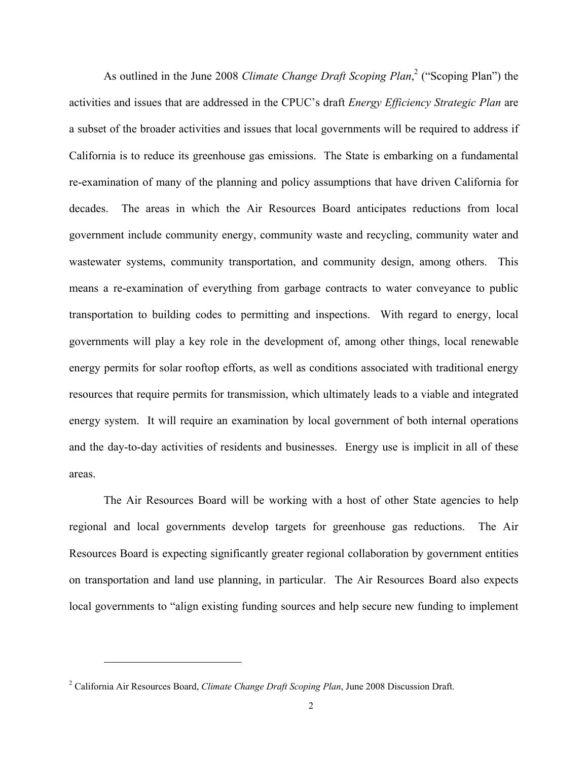As outlined in the June 2008 *Climate Change Draft Scoping Plan*,<sup>2</sup> ("Scoping Plan") the activities and issues that are addressed in the CPUC's draft *Energy Efficiency Strategic Plan* are a subset of the broader activities and issues that local governments will be required to address if California is to reduce its greenhouse gas emissions. The State is embarking on a fundamental re-examination of many of the planning and policy assumptions that have driven California for decades. The areas in which the Air Resources Board anticipates reductions from local government include community energy, community waste and recycling, community water and wastewater systems, community transportation, and community design, among others. This means a re-examination of everything from garbage contracts to water conveyance to public transportation to building codes to permitting and inspections. With regard to energy, local governments will play a key role in the development of, among other things, local renewable energy permits for solar rooftop efforts, as well as conditions associated with traditional energy resources that require permits for transmission, which ultimately leads to a viable and integrated energy system. It will require an examination by local government of both internal operations and the day-to-day activities of residents and businesses. Energy use is implicit in all of these areas.

The Air Resources Board will be working with a host of other State agencies to help regional and local governments develop targets for greenhouse gas reductions. The Air Resources Board is expecting significantly greater regional collaboration by government entities on transportation and land use planning, in particular. The Air Resources Board also expects local governments to "align existing funding sources and help secure new funding to implement

1

<sup>2</sup> California Air Resources Board, *Climate Change Draft Scoping Plan*, June 2008 Discussion Draft.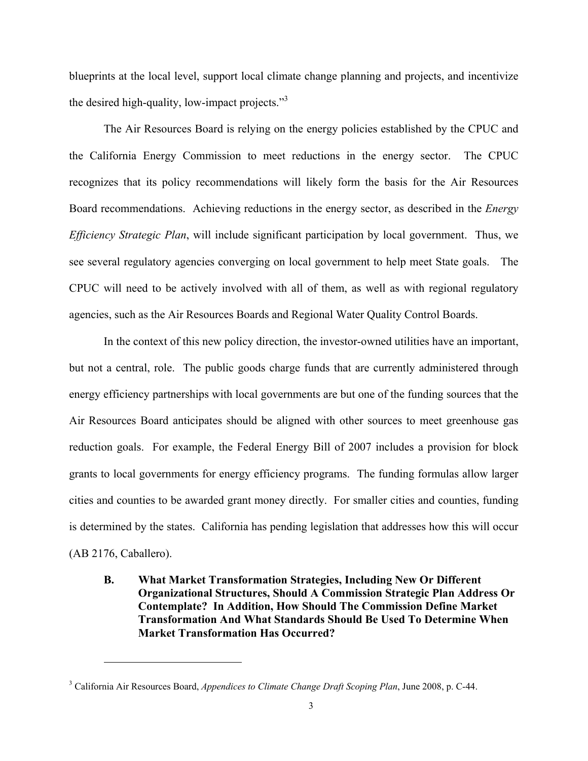blueprints at the local level, support local climate change planning and projects, and incentivize the desired high-quality, low-impact projects."<sup>3</sup>

The Air Resources Board is relying on the energy policies established by the CPUC and the California Energy Commission to meet reductions in the energy sector. The CPUC recognizes that its policy recommendations will likely form the basis for the Air Resources Board recommendations. Achieving reductions in the energy sector, as described in the *Energy Efficiency Strategic Plan*, will include significant participation by local government. Thus, we see several regulatory agencies converging on local government to help meet State goals. The CPUC will need to be actively involved with all of them, as well as with regional regulatory agencies, such as the Air Resources Boards and Regional Water Quality Control Boards.

In the context of this new policy direction, the investor-owned utilities have an important, but not a central, role. The public goods charge funds that are currently administered through energy efficiency partnerships with local governments are but one of the funding sources that the Air Resources Board anticipates should be aligned with other sources to meet greenhouse gas reduction goals. For example, the Federal Energy Bill of 2007 includes a provision for block grants to local governments for energy efficiency programs. The funding formulas allow larger cities and counties to be awarded grant money directly. For smaller cities and counties, funding is determined by the states. California has pending legislation that addresses how this will occur (AB 2176, Caballero).

**B. What Market Transformation Strategies, Including New Or Different Organizational Structures, Should A Commission Strategic Plan Address Or Contemplate? In Addition, How Should The Commission Define Market Transformation And What Standards Should Be Used To Determine When Market Transformation Has Occurred?** 

 $\overline{a}$ 

<sup>3</sup> California Air Resources Board, *Appendices to Climate Change Draft Scoping Plan*, June 2008, p. C-44.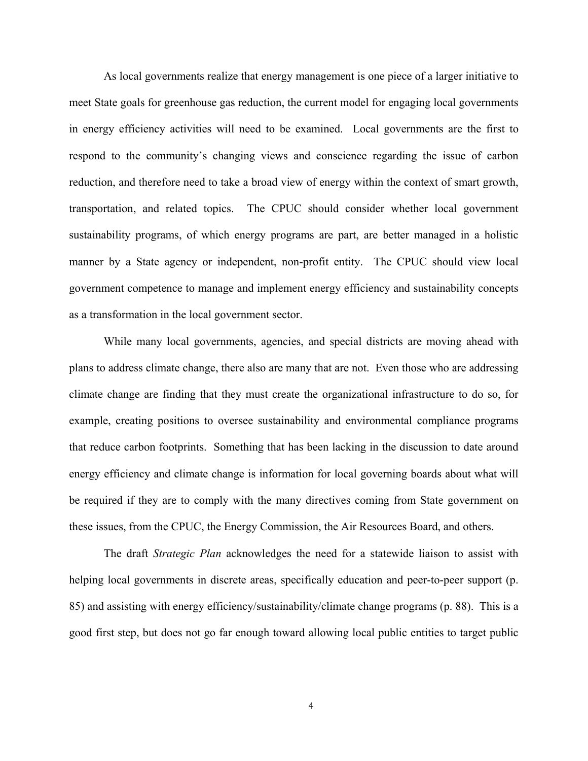As local governments realize that energy management is one piece of a larger initiative to meet State goals for greenhouse gas reduction, the current model for engaging local governments in energy efficiency activities will need to be examined. Local governments are the first to respond to the community's changing views and conscience regarding the issue of carbon reduction, and therefore need to take a broad view of energy within the context of smart growth, transportation, and related topics. The CPUC should consider whether local government sustainability programs, of which energy programs are part, are better managed in a holistic manner by a State agency or independent, non-profit entity. The CPUC should view local government competence to manage and implement energy efficiency and sustainability concepts as a transformation in the local government sector.

While many local governments, agencies, and special districts are moving ahead with plans to address climate change, there also are many that are not. Even those who are addressing climate change are finding that they must create the organizational infrastructure to do so, for example, creating positions to oversee sustainability and environmental compliance programs that reduce carbon footprints. Something that has been lacking in the discussion to date around energy efficiency and climate change is information for local governing boards about what will be required if they are to comply with the many directives coming from State government on these issues, from the CPUC, the Energy Commission, the Air Resources Board, and others.

The draft *Strategic Plan* acknowledges the need for a statewide liaison to assist with helping local governments in discrete areas, specifically education and peer-to-peer support (p. 85) and assisting with energy efficiency/sustainability/climate change programs (p. 88). This is a good first step, but does not go far enough toward allowing local public entities to target public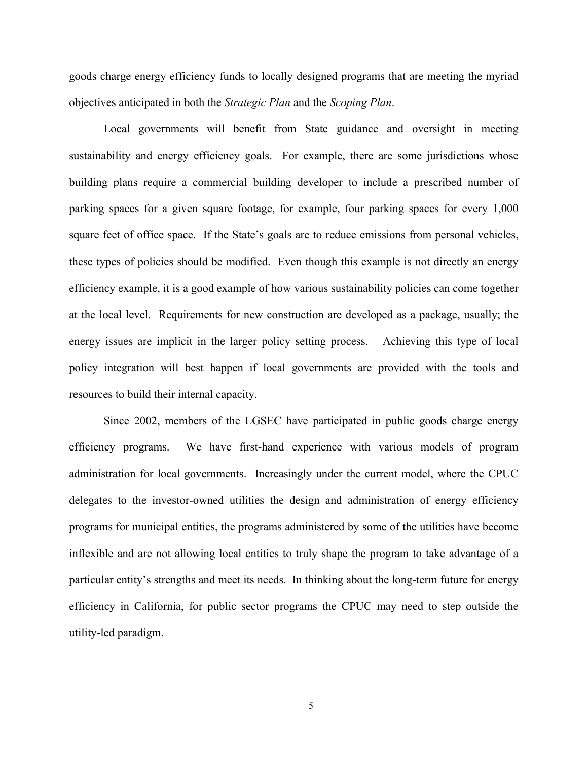goods charge energy efficiency funds to locally designed programs that are meeting the myriad objectives anticipated in both the *Strategic Plan* and the *Scoping Plan*.

Local governments will benefit from State guidance and oversight in meeting sustainability and energy efficiency goals. For example, there are some jurisdictions whose building plans require a commercial building developer to include a prescribed number of parking spaces for a given square footage, for example, four parking spaces for every 1,000 square feet of office space. If the State's goals are to reduce emissions from personal vehicles, these types of policies should be modified. Even though this example is not directly an energy efficiency example, it is a good example of how various sustainability policies can come together at the local level. Requirements for new construction are developed as a package, usually; the energy issues are implicit in the larger policy setting process. Achieving this type of local policy integration will best happen if local governments are provided with the tools and resources to build their internal capacity.

Since 2002, members of the LGSEC have participated in public goods charge energy efficiency programs. We have first-hand experience with various models of program administration for local governments. Increasingly under the current model, where the CPUC delegates to the investor-owned utilities the design and administration of energy efficiency programs for municipal entities, the programs administered by some of the utilities have become inflexible and are not allowing local entities to truly shape the program to take advantage of a particular entity's strengths and meet its needs. In thinking about the long-term future for energy efficiency in California, for public sector programs the CPUC may need to step outside the utility-led paradigm.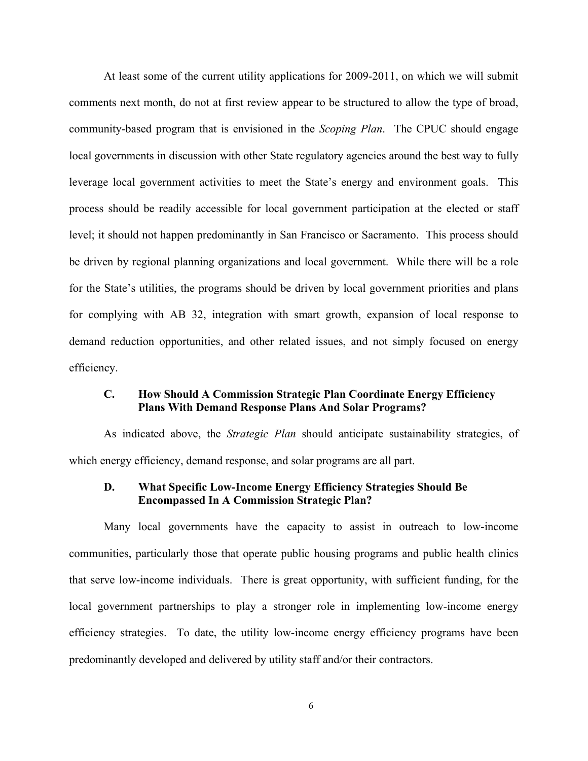At least some of the current utility applications for 2009-2011, on which we will submit comments next month, do not at first review appear to be structured to allow the type of broad, community-based program that is envisioned in the *Scoping Plan*. The CPUC should engage local governments in discussion with other State regulatory agencies around the best way to fully leverage local government activities to meet the State's energy and environment goals. This process should be readily accessible for local government participation at the elected or staff level; it should not happen predominantly in San Francisco or Sacramento. This process should be driven by regional planning organizations and local government. While there will be a role for the State's utilities, the programs should be driven by local government priorities and plans for complying with AB 32, integration with smart growth, expansion of local response to demand reduction opportunities, and other related issues, and not simply focused on energy efficiency.

### **C. How Should A Commission Strategic Plan Coordinate Energy Efficiency Plans With Demand Response Plans And Solar Programs?**

 As indicated above, the *Strategic Plan* should anticipate sustainability strategies, of which energy efficiency, demand response, and solar programs are all part.

### **D. What Specific Low-Income Energy Efficiency Strategies Should Be Encompassed In A Commission Strategic Plan?**

 Many local governments have the capacity to assist in outreach to low-income communities, particularly those that operate public housing programs and public health clinics that serve low-income individuals. There is great opportunity, with sufficient funding, for the local government partnerships to play a stronger role in implementing low-income energy efficiency strategies. To date, the utility low-income energy efficiency programs have been predominantly developed and delivered by utility staff and/or their contractors.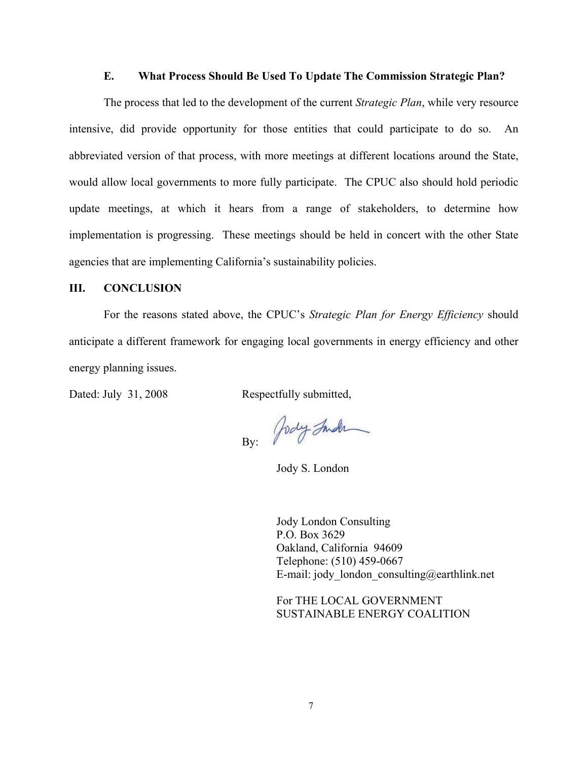#### **E. What Process Should Be Used To Update The Commission Strategic Plan?**

The process that led to the development of the current *Strategic Plan*, while very resource intensive, did provide opportunity for those entities that could participate to do so. An abbreviated version of that process, with more meetings at different locations around the State, would allow local governments to more fully participate. The CPUC also should hold periodic update meetings, at which it hears from a range of stakeholders, to determine how implementation is progressing. These meetings should be held in concert with the other State agencies that are implementing California's sustainability policies.

#### **III. CONCLUSION**

 For the reasons stated above, the CPUC's *Strategic Plan for Energy Efficiency* should anticipate a different framework for engaging local governments in energy efficiency and other energy planning issues.

Dated: July 31, 2008 Respectfully submitted,

By: Jody Inder

Jody S. London

Jody London Consulting P.O. Box 3629 Oakland, California 94609 Telephone: (510) 459-0667 E-mail: jody london consulting@earthlink.net

For THE LOCAL GOVERNMENT SUSTAINABLE ENERGY COALITION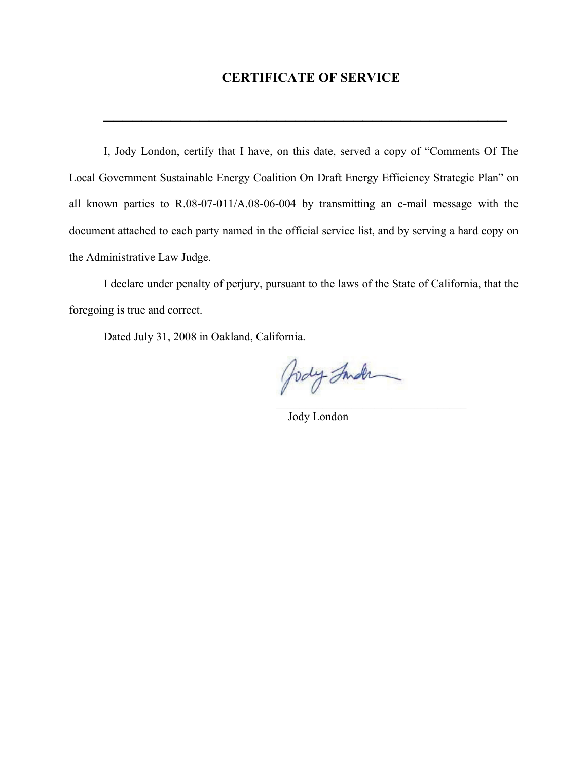## **CERTIFICATE OF SERVICE**

**\_\_\_\_\_\_\_\_\_\_\_\_\_\_\_\_\_\_\_\_\_\_\_\_\_\_\_\_\_\_\_\_\_\_\_\_\_\_\_\_\_\_**

I, Jody London, certify that I have, on this date, served a copy of "Comments Of The Local Government Sustainable Energy Coalition On Draft Energy Efficiency Strategic Plan" on all known parties to R.08-07-011/A.08-06-004 by transmitting an e-mail message with the document attached to each party named in the official service list, and by serving a hard copy on the Administrative Law Judge.

I declare under penalty of perjury, pursuant to the laws of the State of California, that the foregoing is true and correct.

 $\mathcal{L}_\text{max}$  and  $\mathcal{L}_\text{max}$  and  $\mathcal{L}_\text{max}$  are the contract of the contract of the contract of the contract of the contract of the contract of the contract of the contract of the contract of the contract of the con

Dated July 31, 2008 in Oakland, California.

Jody Inder

Jody London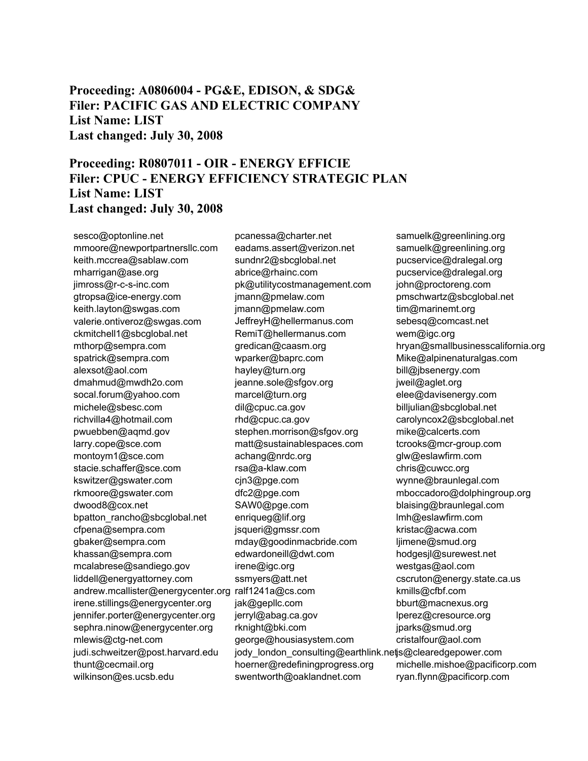**Proceeding: A0806004 - PG&E, EDISON, & SDG& Filer: PACIFIC GAS AND ELECTRIC COMPANY List Name: LIST Last changed: July 30, 2008** 

## **Proceeding: R0807011 - OIR - ENERGY EFFICIE Filer: CPUC - ENERGY EFFICIENCY STRATEGIC PLAN List Name: LIST Last changed: July 30, 2008**

sesco@optonline.net mmoore@newportpartnersllc.com keith.mccrea@sablaw.com mharrigan@ase.org jimross@r-c-s-inc.com gtropsa@ice-energy.com keith.layton@swgas.com valerie.ontiveroz@swgas.com ckmitchell1@sbcglobal.net mthorp@sempra.com spatrick@sempra.com alexsot@aol.com dmahmud@mwdh2o.com socal.forum@yahoo.com michele@sbesc.com richvilla4@hotmail.com pwuebben@aqmd.gov larry.cope@sce.com montoym1@sce.com stacie.schaffer@sce.com kswitzer@gswater.com rkmoore@gswater.com dwood8@cox.net bpatton\_rancho@sbcglobal.net cfpena@sempra.com gbaker@sempra.com khassan@sempra.com mcalabrese@sandiego.gov liddell@energyattorney.com andrew.mcallister@energycenter.org ralf1241a@cs.com irene.stillings@energycenter.org jennifer.porter@energycenter.org sephra.ninow@energycenter.org mlewis@ctg-net.com judi.schweitzer@post.harvard.edu thunt@cecmail.org wilkinson@es.ucsb.edu

pcanessa@charter.net eadams.assert@verizon.net sundnr2@sbcglobal.net abrice@rhainc.com pk@utilitycostmanagement.com jmann@pmelaw.com jmann@pmelaw.com JeffreyH@hellermanus.com RemiT@hellermanus.com gredican@caasm.org wparker@baprc.com hayley@turn.org jeanne.sole@sfgov.org marcel@turn.org dil@cpuc.ca.gov rhd@cpuc.ca.gov stephen.morrison@sfgov.org matt@sustainablespaces.com achang@nrdc.org rsa@a-klaw.com cjn3@pge.com dfc2@pge.com SAW0@pge.com enriqueg@lif.org jsqueri@gmssr.com mday@goodinmacbride.com edwardoneill@dwt.com irene@igc.org ssmyers@att.net jak@gepllc.com jerryl@abag.ca.gov rknight@bki.com george@housiasystem.com jody\_london\_consulting@earthlink.netjs@clearedgepower.com hoerner@redefiningprogress.org swentworth@oaklandnet.com

samuelk@greenlining.org samuelk@greenlining.org pucservice@dralegal.org pucservice@dralegal.org john@proctoreng.com pmschwartz@sbcglobal.net tim@marinemt.org sebesq@comcast.net wem@igc.org hryan@smallbusinesscalifornia.org Mike@alpinenaturalgas.com bill@jbsenergy.com jweil@aglet.org elee@davisenergy.com billjulian@sbcglobal.net carolyncox2@sbcglobal.net mike@calcerts.com tcrooks@mcr-group.com glw@eslawfirm.com chris@cuwcc.org wynne@braunlegal.com mboccadoro@dolphingroup.org blaising@braunlegal.com lmh@eslawfirm.com kristac@acwa.com ljimene@smud.org hodgesjl@surewest.net westgas@aol.com cscruton@energy.state.ca.us kmills@cfbf.com bburt@macnexus.org lperez@cresource.org jparks@smud.org cristalfour@aol.com michelle.mishoe@pacificorp.com ryan.flynn@pacificorp.com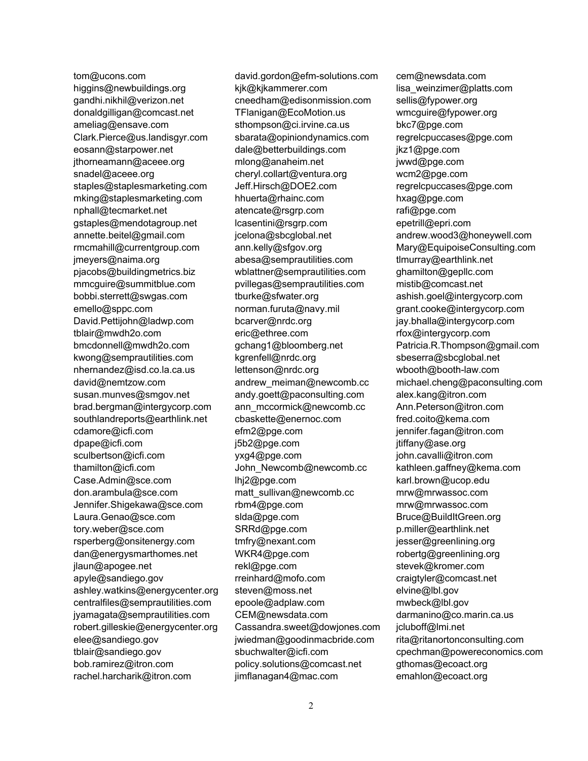tom@ucons.com higgins@newbuildings.org gandhi.nikhil@verizon.net donaldgilligan@comcast.net ameliag@ensave.com Clark.Pierce@us.landisgyr.com eosann@starpower.net jthorneamann@aceee.org snadel@aceee.org staples@staplesmarketing.com mking@staplesmarketing.com nphall@tecmarket.net gstaples@mendotagroup.net annette.beitel@gmail.com rmcmahill@currentgroup.com jmeyers@naima.org pjacobs@buildingmetrics.biz mmcguire@summitblue.com bobbi.sterrett@swgas.com emello@sppc.com David.Pettijohn@ladwp.com tblair@mwdh2o.com bmcdonnell@mwdh2o.com kwong@semprautilities.com nhernandez@isd.co.la.ca.us david@nemtzow.com susan.munves@smgov.net brad.bergman@intergycorp.com southlandreports@earthlink.net cdamore@icfi.com dpape@icfi.com sculbertson@icfi.com thamilton@icfi.com Case.Admin@sce.com don.arambula@sce.com Jennifer.Shigekawa@sce.com Laura.Genao@sce.com tory.weber@sce.com rsperberg@onsitenergy.com dan@energysmarthomes.net jlaun@apogee.net apyle@sandiego.gov ashley.watkins@energycenter.org centralfiles@semprautilities.com jyamagata@semprautilities.com robert.gilleskie@energycenter.org elee@sandiego.gov tblair@sandiego.gov bob.ramirez@itron.com rachel.harcharik@itron.com

david.gordon@efm-solutions.com kjk@kjkammerer.com cneedham@edisonmission.com TFlanigan@EcoMotion.us sthompson@ci.irvine.ca.us sbarata@opiniondynamics.com dale@betterbuildings.com mlong@anaheim.net cheryl.collart@ventura.org Jeff.Hirsch@DOE2.com hhuerta@rhainc.com atencate@rsgrp.com lcasentini@rsgrp.com jcelona@sbcglobal.net ann.kelly@sfgov.org abesa@semprautilities.com wblattner@semprautilities.com pvillegas@semprautilities.com tburke@sfwater.org norman.furuta@navy.mil bcarver@nrdc.org eric@ethree.com gchang1@bloomberg.net kgrenfell@nrdc.org lettenson@nrdc.org andrew\_meiman@newcomb.cc andy.goett@paconsulting.com ann\_mccormick@newcomb.cc cbaskette@enernoc.com efm2@pge.com j5b2@pge.com yxg4@pge.com John\_Newcomb@newcomb.cc lhj2@pge.com matt\_sullivan@newcomb.cc rbm4@pge.com slda@pge.com SRRd@pge.com tmfry@nexant.com WKR4@pge.com rekl@pge.com rreinhard@mofo.com steven@moss.net epoole@adplaw.com CEM@newsdata.com Cassandra.sweet@dowjones.com jwiedman@goodinmacbride.com sbuchwalter@icfi.com policy.solutions@comcast.net jimflanagan4@mac.com

cem@newsdata.com lisa\_weinzimer@platts.com sellis@fypower.org wmcguire@fypower.org bkc7@pge.com regrelcpuccases@pge.com jkz1@pge.com jwwd@pge.com wcm2@pge.com regrelcpuccases@pge.com hxag@pge.com rafi@pge.com epetrill@epri.com andrew.wood3@honeywell.com Mary@EquipoiseConsulting.com tlmurray@earthlink.net ghamilton@gepllc.com mistib@comcast.net ashish.goel@intergycorp.com grant.cooke@intergycorp.com jay.bhalla@intergycorp.com rfox@intergycorp.com Patricia.R.Thompson@gmail.com sbeserra@sbcglobal.net wbooth@booth-law.com michael.cheng@paconsulting.com alex.kang@itron.com Ann.Peterson@itron.com fred.coito@kema.com jennifer.fagan@itron.com jtiffany@ase.org john.cavalli@itron.com kathleen.gaffney@kema.com karl.brown@ucop.edu mrw@mrwassoc.com mrw@mrwassoc.com Bruce@BuildItGreen.org p.miller@earthlink.net jesser@greenlining.org robertg@greenlining.org stevek@kromer.com craigtyler@comcast.net elvine@lbl.gov mwbeck@lbl.gov darmanino@co.marin.ca.us jcluboff@lmi.net rita@ritanortonconsulting.com cpechman@powereconomics.com gthomas@ecoact.org emahlon@ecoact.org